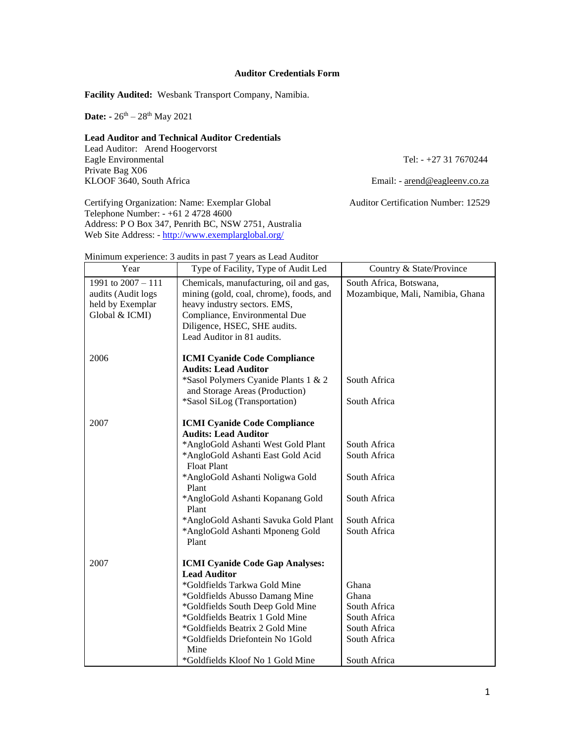## **Auditor Credentials Form**

**Facility Audited:** Wesbank Transport Company, Namibia.

**Date:** -  $26^{th} - 28^{th}$  May 2021

## **Lead Auditor and Technical Auditor Credentials**

Lead Auditor: Arend Hoogervorst Eagle Environmental Tel: - +27 31 7670244 Private Bag X06<br>KLOOF 3640, South Africa

Email: - arend@eagleenv.co.za

Certifying Organization: Name: Exemplar Global Auditor Certification Number: 12529 Telephone Number: - +61 2 4728 4600 Address: P O Box 347, Penrith BC, NSW 2751, Australia Web Site Address: - <http://www.exemplarglobal.org/>

|  | Minimum experience: 3 audits in past 7 years as Lead Auditor |  |  |  |  |  |
|--|--------------------------------------------------------------|--|--|--|--|--|
|  |                                                              |  |  |  |  |  |

| Year                                                                           | Type of Facility, Type of Audit Led                                                                                                                                                                                                                                                                                                              | Country & State/Province                                                                       |
|--------------------------------------------------------------------------------|--------------------------------------------------------------------------------------------------------------------------------------------------------------------------------------------------------------------------------------------------------------------------------------------------------------------------------------------------|------------------------------------------------------------------------------------------------|
| 1991 to 2007 - 111<br>audits (Audit logs<br>held by Exemplar<br>Global & ICMI) | Chemicals, manufacturing, oil and gas,<br>mining (gold, coal, chrome), foods, and<br>heavy industry sectors. EMS,<br>Compliance, Environmental Due<br>Diligence, HSEC, SHE audits.<br>Lead Auditor in 81 audits.                                                                                                                                 | South Africa, Botswana,<br>Mozambique, Mali, Namibia, Ghana                                    |
| 2006                                                                           | <b>ICMI Cyanide Code Compliance</b><br><b>Audits: Lead Auditor</b><br>*Sasol Polymers Cyanide Plants 1 & 2<br>and Storage Areas (Production)<br>*Sasol SiLog (Transportation)                                                                                                                                                                    | South Africa<br>South Africa                                                                   |
| 2007                                                                           | <b>ICMI Cyanide Code Compliance</b><br><b>Audits: Lead Auditor</b><br>*AngloGold Ashanti West Gold Plant<br>*AngloGold Ashanti East Gold Acid<br><b>Float Plant</b><br>*AngloGold Ashanti Noligwa Gold<br>Plant<br>*AngloGold Ashanti Kopanang Gold<br>Plant<br>*AngloGold Ashanti Savuka Gold Plant<br>*AngloGold Ashanti Mponeng Gold<br>Plant | South Africa<br>South Africa<br>South Africa<br>South Africa<br>South Africa<br>South Africa   |
| 2007                                                                           | <b>ICMI Cyanide Code Gap Analyses:</b><br><b>Lead Auditor</b><br>*Goldfields Tarkwa Gold Mine<br>*Goldfields Abusso Damang Mine<br>*Goldfields South Deep Gold Mine<br>*Goldfields Beatrix 1 Gold Mine<br>*Goldfields Beatrix 2 Gold Mine<br>*Goldfields Driefontein No 1Gold<br>Mine<br>*Goldfields Kloof No 1 Gold Mine                        | Ghana<br>Ghana<br>South Africa<br>South Africa<br>South Africa<br>South Africa<br>South Africa |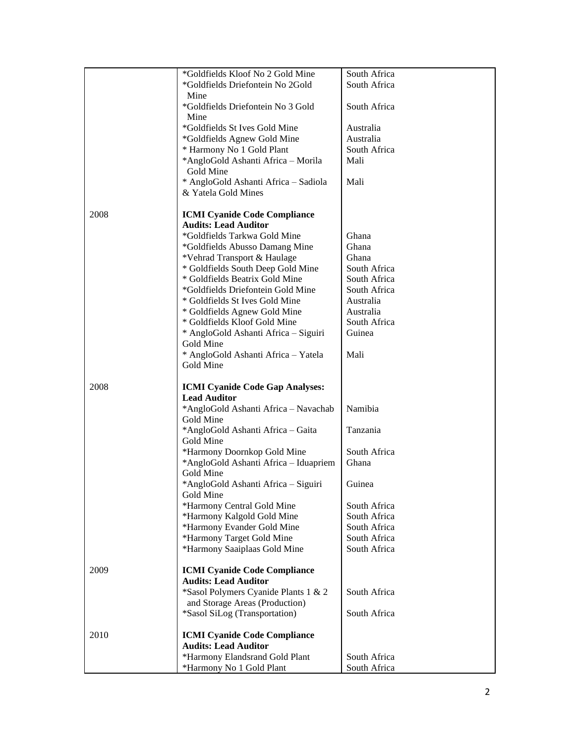|      | *Goldfields Kloof No 2 Gold Mine       | South Africa |
|------|----------------------------------------|--------------|
|      | *Goldfields Driefontein No 2Gold       | South Africa |
|      | Mine                                   |              |
|      |                                        |              |
|      | *Goldfields Driefontein No 3 Gold      | South Africa |
|      | Mine                                   |              |
|      | *Goldfields St Ives Gold Mine          | Australia    |
|      | *Goldfields Agnew Gold Mine            | Australia    |
|      | * Harmony No 1 Gold Plant              | South Africa |
|      | *AngloGold Ashanti Africa - Morila     | Mali         |
|      | Gold Mine                              |              |
|      | * AngloGold Ashanti Africa - Sadiola   | Mali         |
|      | & Yatela Gold Mines                    |              |
|      |                                        |              |
|      |                                        |              |
| 2008 | <b>ICMI Cyanide Code Compliance</b>    |              |
|      | <b>Audits: Lead Auditor</b>            |              |
|      | *Goldfields Tarkwa Gold Mine           | Ghana        |
|      | *Goldfields Abusso Damang Mine         | Ghana        |
|      | *Vehrad Transport & Haulage            | Ghana        |
|      | * Goldfields South Deep Gold Mine      | South Africa |
|      | * Goldfields Beatrix Gold Mine         | South Africa |
|      | *Goldfields Driefontein Gold Mine      | South Africa |
|      |                                        | Australia    |
|      | * Goldfields St Ives Gold Mine         |              |
|      | * Goldfields Agnew Gold Mine           | Australia    |
|      | * Goldfields Kloof Gold Mine           | South Africa |
|      | * AngloGold Ashanti Africa - Siguiri   | Guinea       |
|      | Gold Mine                              |              |
|      | * AngloGold Ashanti Africa - Yatela    | Mali         |
|      | Gold Mine                              |              |
|      |                                        |              |
| 2008 | <b>ICMI Cyanide Code Gap Analyses:</b> |              |
|      |                                        |              |
|      | <b>Lead Auditor</b>                    |              |
|      | *AngloGold Ashanti Africa - Navachab   | Namibia      |
|      | Gold Mine                              |              |
|      | *AngloGold Ashanti Africa - Gaita      | Tanzania     |
|      | Gold Mine                              |              |
|      | *Harmony Doornkop Gold Mine            | South Africa |
|      | *AngloGold Ashanti Africa - Iduapriem  | Ghana        |
|      | Gold Mine                              |              |
|      | *AngloGold Ashanti Africa - Siguiri    |              |
|      |                                        | Guinea       |
|      | Gold Mine                              |              |
|      | *Harmony Central Gold Mine             | South Africa |
|      | *Harmony Kalgold Gold Mine             | South Africa |
|      | *Harmony Evander Gold Mine             | South Africa |
|      | *Harmony Target Gold Mine              | South Africa |
|      | *Harmony Saaiplaas Gold Mine           | South Africa |
|      |                                        |              |
| 2009 | <b>ICMI Cyanide Code Compliance</b>    |              |
|      | <b>Audits: Lead Auditor</b>            |              |
|      | *Sasol Polymers Cyanide Plants 1 & 2   | South Africa |
|      |                                        |              |
|      | and Storage Areas (Production)         |              |
|      | *Sasol SiLog (Transportation)          | South Africa |
|      |                                        |              |
| 2010 | <b>ICMI Cyanide Code Compliance</b>    |              |
|      | <b>Audits: Lead Auditor</b>            |              |
|      | *Harmony Elandsrand Gold Plant         | South Africa |
|      |                                        | South Africa |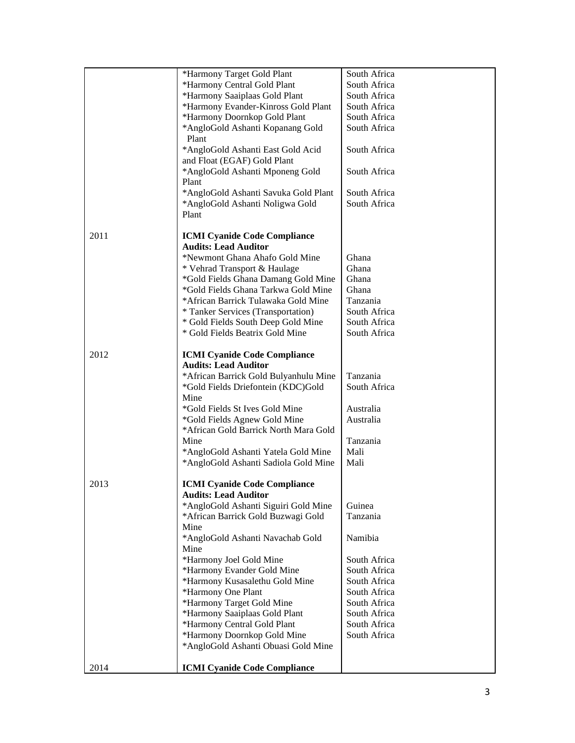|      | *Harmony Target Gold Plant                                            | South Africa |
|------|-----------------------------------------------------------------------|--------------|
|      | *Harmony Central Gold Plant                                           | South Africa |
|      | *Harmony Saaiplaas Gold Plant                                         | South Africa |
|      | *Harmony Evander-Kinross Gold Plant                                   | South Africa |
|      | *Harmony Doornkop Gold Plant                                          | South Africa |
|      | *AngloGold Ashanti Kopanang Gold<br>Plant                             | South Africa |
|      | *AngloGold Ashanti East Gold Acid<br>and Float (EGAF) Gold Plant      | South Africa |
|      | *AngloGold Ashanti Mponeng Gold<br>Plant                              | South Africa |
|      | *AngloGold Ashanti Savuka Gold Plant                                  | South Africa |
|      | *AngloGold Ashanti Noligwa Gold                                       | South Africa |
|      | Plant                                                                 |              |
| 2011 | <b>ICMI Cyanide Code Compliance</b>                                   |              |
|      | <b>Audits: Lead Auditor</b>                                           |              |
|      | *Newmont Ghana Ahafo Gold Mine                                        | Ghana        |
|      | * Vehrad Transport & Haulage                                          | Ghana        |
|      | *Gold Fields Ghana Damang Gold Mine                                   | Ghana        |
|      | *Gold Fields Ghana Tarkwa Gold Mine                                   | Ghana        |
|      | *African Barrick Tulawaka Gold Mine                                   | Tanzania     |
|      | * Tanker Services (Transportation)                                    | South Africa |
|      | * Gold Fields South Deep Gold Mine<br>* Gold Fields Beatrix Gold Mine | South Africa |
|      |                                                                       | South Africa |
| 2012 | <b>ICMI Cyanide Code Compliance</b>                                   |              |
|      | <b>Audits: Lead Auditor</b>                                           |              |
|      | *African Barrick Gold Bulyanhulu Mine                                 | Tanzania     |
|      | *Gold Fields Driefontein (KDC)Gold                                    | South Africa |
|      | Mine                                                                  |              |
|      | *Gold Fields St Ives Gold Mine                                        | Australia    |
|      | *Gold Fields Agnew Gold Mine                                          | Australia    |
|      | *African Gold Barrick North Mara Gold                                 |              |
|      | Mine                                                                  | Tanzania     |
|      | *AngloGold Ashanti Yatela Gold Mine                                   | Mali         |
|      | *AngloGold Ashanti Sadiola Gold Mine                                  | Mali         |
| 2013 | <b>ICMI Cyanide Code Compliance</b>                                   |              |
|      | <b>Audits: Lead Auditor</b>                                           |              |
|      | *AngloGold Ashanti Siguiri Gold Mine                                  | Guinea       |
|      | *African Barrick Gold Buzwagi Gold                                    | Tanzania     |
|      | Mine                                                                  |              |
|      | *AngloGold Ashanti Navachab Gold<br>Mine                              | Namibia      |
|      | *Harmony Joel Gold Mine                                               | South Africa |
|      | *Harmony Evander Gold Mine                                            | South Africa |
|      | *Harmony Kusasalethu Gold Mine                                        | South Africa |
|      | *Harmony One Plant                                                    | South Africa |
|      | *Harmony Target Gold Mine                                             | South Africa |
|      | *Harmony Saaiplaas Gold Plant                                         | South Africa |
|      | *Harmony Central Gold Plant                                           | South Africa |
|      | *Harmony Doornkop Gold Mine                                           | South Africa |
|      | *AngloGold Ashanti Obuasi Gold Mine                                   |              |
| 2014 | <b>ICMI Cyanide Code Compliance</b>                                   |              |
|      |                                                                       |              |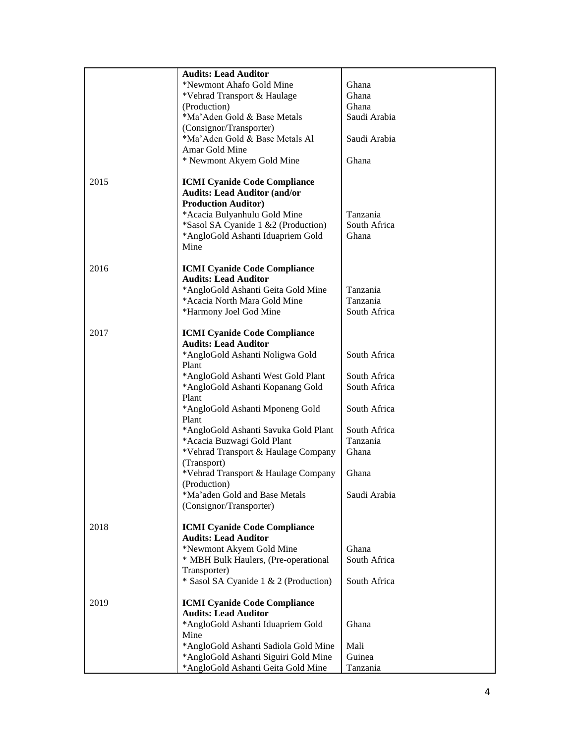|      | <b>Audits: Lead Auditor</b>                                                  |                |
|------|------------------------------------------------------------------------------|----------------|
|      | *Newmont Ahafo Gold Mine                                                     | Ghana          |
|      | *Vehrad Transport & Haulage                                                  | Ghana          |
|      | (Production)                                                                 | Ghana          |
|      | *Ma'Aden Gold & Base Metals                                                  | Saudi Arabia   |
|      | (Consignor/Transporter)                                                      |                |
|      | *Ma'Aden Gold & Base Metals Al                                               | Saudi Arabia   |
|      | Amar Gold Mine                                                               |                |
|      | * Newmont Akyem Gold Mine                                                    | Ghana          |
|      |                                                                              |                |
| 2015 | <b>ICMI Cyanide Code Compliance</b><br><b>Audits: Lead Auditor (and/or</b>   |                |
|      |                                                                              |                |
|      | <b>Production Auditor)</b><br>*Acacia Bulyanhulu Gold Mine                   | Tanzania       |
|      | *Sasol SA Cyanide 1 &2 (Production)                                          | South Africa   |
|      | *AngloGold Ashanti Iduapriem Gold                                            | Ghana          |
|      | Mine                                                                         |                |
|      |                                                                              |                |
| 2016 | <b>ICMI Cyanide Code Compliance</b>                                          |                |
|      | <b>Audits: Lead Auditor</b>                                                  |                |
|      | *AngloGold Ashanti Geita Gold Mine                                           | Tanzania       |
|      | *Acacia North Mara Gold Mine                                                 | Tanzania       |
|      | *Harmony Joel God Mine                                                       | South Africa   |
| 2017 | <b>ICMI Cyanide Code Compliance</b>                                          |                |
|      | <b>Audits: Lead Auditor</b>                                                  |                |
|      | *AngloGold Ashanti Noligwa Gold                                              | South Africa   |
|      | Plant                                                                        |                |
|      | *AngloGold Ashanti West Gold Plant                                           | South Africa   |
|      | *AngloGold Ashanti Kopanang Gold                                             | South Africa   |
|      | Plant                                                                        |                |
|      | *AngloGold Ashanti Mponeng Gold                                              | South Africa   |
|      | Plant                                                                        | South Africa   |
|      | *AngloGold Ashanti Savuka Gold Plant<br>*Acacia Buzwagi Gold Plant           | Tanzania       |
|      | *Vehrad Transport & Haulage Company                                          | Ghana          |
|      | (Transport)                                                                  |                |
|      | *Vehrad Transport & Haulage Company                                          | Ghana          |
|      | (Production)                                                                 |                |
|      | *Ma'aden Gold and Base Metals                                                | Saudi Arabia   |
|      | (Consignor/Transporter)                                                      |                |
|      |                                                                              |                |
| 2018 | <b>ICMI Cyanide Code Compliance</b><br><b>Audits: Lead Auditor</b>           |                |
|      | *Newmont Akyem Gold Mine                                                     | Ghana          |
|      | * MBH Bulk Haulers, (Pre-operational                                         | South Africa   |
|      | Transporter)                                                                 |                |
|      | * Sasol SA Cyanide 1 & 2 (Production)                                        | South Africa   |
|      |                                                                              |                |
| 2019 | <b>ICMI Cyanide Code Compliance</b>                                          |                |
|      | <b>Audits: Lead Auditor</b>                                                  |                |
|      | *AngloGold Ashanti Iduapriem Gold                                            | Ghana          |
|      | Mine                                                                         |                |
|      | *AngloGold Ashanti Sadiola Gold Mine<br>*AngloGold Ashanti Siguiri Gold Mine | Mali<br>Guinea |
|      | *AngloGold Ashanti Geita Gold Mine                                           | Tanzania       |
|      |                                                                              |                |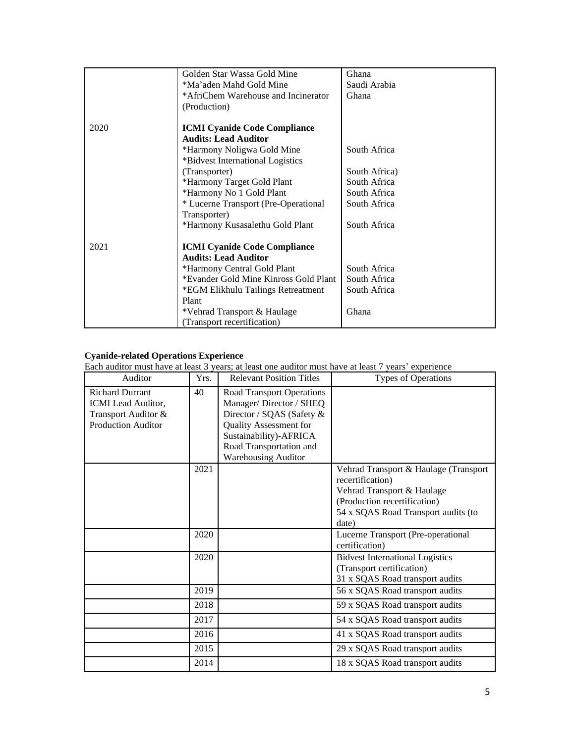|      | Golden Star Wassa Gold Mine           | Ghana         |
|------|---------------------------------------|---------------|
|      | *Ma'aden Mahd Gold Mine               | Saudi Arabia  |
|      | *AfriChem Warehouse and Incinerator   | Ghana         |
|      | (Production)                          |               |
|      |                                       |               |
| 2020 | <b>ICMI Cyanide Code Compliance</b>   |               |
|      | <b>Audits: Lead Auditor</b>           |               |
|      | *Harmony Noligwa Gold Mine            | South Africa  |
|      | *Bidvest International Logistics      |               |
|      | (Transporter)                         | South Africa) |
|      | *Harmony Target Gold Plant            | South Africa  |
|      | *Harmony No 1 Gold Plant              | South Africa  |
|      | * Lucerne Transport (Pre-Operational  | South Africa  |
|      | Transporter)                          |               |
|      | *Harmony Kusasalethu Gold Plant       | South Africa  |
|      |                                       |               |
| 2021 | <b>ICMI Cyanide Code Compliance</b>   |               |
|      | <b>Audits: Lead Auditor</b>           |               |
|      | *Harmony Central Gold Plant           | South Africa  |
|      | *Evander Gold Mine Kinross Gold Plant | South Africa  |
|      | *EGM Elikhulu Tailings Retreatment    | South Africa  |
|      | Plant                                 |               |
|      | *Vehrad Transport & Haulage           | Ghana         |
|      | (Transport recertification)           |               |

## **Cyanide-related Operations Experience**

Each auditor must have at least 3 years; at least one auditor must have at least 7 years' experience

| Auditor                                                                                          | Yrs. | <b>Relevant Position Titles</b>                                                                                                                                                                       | Types of Operations                                                                                                                                                     |
|--------------------------------------------------------------------------------------------------|------|-------------------------------------------------------------------------------------------------------------------------------------------------------------------------------------------------------|-------------------------------------------------------------------------------------------------------------------------------------------------------------------------|
| <b>Richard Durrant</b><br>ICMI Lead Auditor,<br>Transport Auditor &<br><b>Production Auditor</b> | 40   | <b>Road Transport Operations</b><br>Manager/Director / SHEQ<br>Director / SQAS (Safety &<br>Quality Assessment for<br>Sustainability)-AFRICA<br>Road Transportation and<br><b>Warehousing Auditor</b> |                                                                                                                                                                         |
|                                                                                                  | 2021 |                                                                                                                                                                                                       | Vehrad Transport & Haulage (Transport<br>recertification)<br>Vehrad Transport & Haulage<br>(Production recertification)<br>54 x SQAS Road Transport audits (to<br>date) |
|                                                                                                  | 2020 |                                                                                                                                                                                                       | Lucerne Transport (Pre-operational<br>certification)                                                                                                                    |
|                                                                                                  | 2020 |                                                                                                                                                                                                       | <b>Bidvest International Logistics</b><br>(Transport certification)<br>31 x SQAS Road transport audits                                                                  |
|                                                                                                  | 2019 |                                                                                                                                                                                                       | 56 x SQAS Road transport audits                                                                                                                                         |
|                                                                                                  | 2018 |                                                                                                                                                                                                       | 59 x SQAS Road transport audits                                                                                                                                         |
|                                                                                                  | 2017 |                                                                                                                                                                                                       | 54 x SQAS Road transport audits                                                                                                                                         |
|                                                                                                  | 2016 |                                                                                                                                                                                                       | 41 x SQAS Road transport audits                                                                                                                                         |
|                                                                                                  | 2015 |                                                                                                                                                                                                       | 29 x SQAS Road transport audits                                                                                                                                         |
|                                                                                                  | 2014 |                                                                                                                                                                                                       | 18 x SQAS Road transport audits                                                                                                                                         |